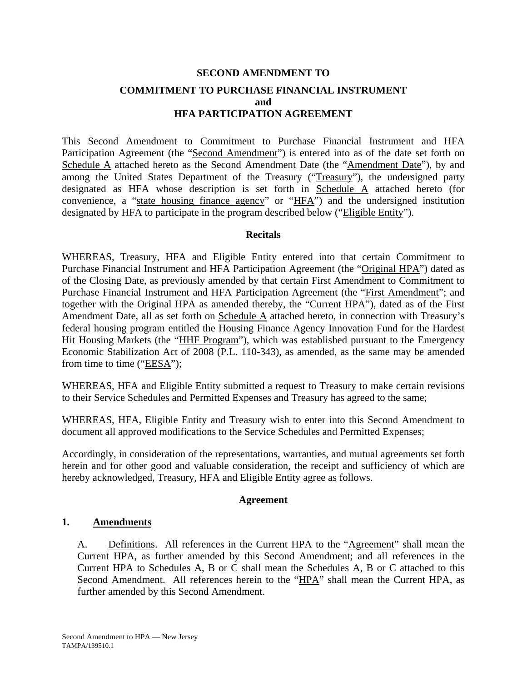# **SECOND AMENDMENT TO COMMITMENT TO PURCHASE FINANCIAL INSTRUMENT and HFA PARTICIPATION AGREEMENT**

This Second Amendment to Commitment to Purchase Financial Instrument and HFA Participation Agreement (the "Second Amendment") is entered into as of the date set forth on Schedule A attached hereto as the Second Amendment Date (the "Amendment Date"), by and among the United States Department of the Treasury ("Treasury"), the undersigned party designated as HFA whose description is set forth in Schedule A attached hereto (for convenience, a "state housing finance agency" or "HFA") and the undersigned institution designated by HFA to participate in the program described below ("Eligible Entity").

## **Recitals**

WHEREAS, Treasury, HFA and Eligible Entity entered into that certain Commitment to Purchase Financial Instrument and HFA Participation Agreement (the "Original HPA") dated as of the Closing Date, as previously amended by that certain First Amendment to Commitment to Purchase Financial Instrument and HFA Participation Agreement (the "First Amendment"; and together with the Original HPA as amended thereby, the "Current HPA"), dated as of the First Amendment Date, all as set forth on Schedule A attached hereto, in connection with Treasury's federal housing program entitled the Housing Finance Agency Innovation Fund for the Hardest Hit Housing Markets (the "HHF Program"), which was established pursuant to the Emergency Economic Stabilization Act of 2008 (P.L. 110-343), as amended, as the same may be amended from time to time ("EESA");

WHEREAS, HFA and Eligible Entity submitted a request to Treasury to make certain revisions to their Service Schedules and Permitted Expenses and Treasury has agreed to the same;

WHEREAS, HFA, Eligible Entity and Treasury wish to enter into this Second Amendment to document all approved modifications to the Service Schedules and Permitted Expenses;

Accordingly, in consideration of the representations, warranties, and mutual agreements set forth herein and for other good and valuable consideration, the receipt and sufficiency of which are hereby acknowledged, Treasury, HFA and Eligible Entity agree as follows.

## **Agreement**

## **1. Amendments**

A. Definitions. All references in the Current HPA to the "Agreement" shall mean the Current HPA, as further amended by this Second Amendment; and all references in the Current HPA to Schedules A, B or C shall mean the Schedules A, B or C attached to this Second Amendment. All references herein to the "HPA" shall mean the Current HPA, as further amended by this Second Amendment.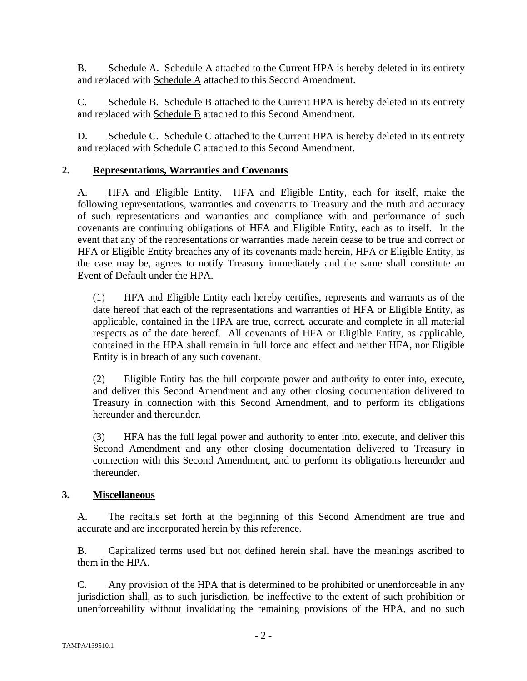B. Schedule A. Schedule A attached to the Current HPA is hereby deleted in its entirety and replaced with Schedule A attached to this Second Amendment.

C. Schedule B. Schedule B attached to the Current HPA is hereby deleted in its entirety and replaced with Schedule B attached to this Second Amendment.

D. Schedule C. Schedule C attached to the Current HPA is hereby deleted in its entirety and replaced with Schedule C attached to this Second Amendment.

## **2. Representations, Warranties and Covenants**

A. HFA and Eligible Entity. HFA and Eligible Entity, each for itself, make the following representations, warranties and covenants to Treasury and the truth and accuracy of such representations and warranties and compliance with and performance of such covenants are continuing obligations of HFA and Eligible Entity, each as to itself. In the event that any of the representations or warranties made herein cease to be true and correct or HFA or Eligible Entity breaches any of its covenants made herein, HFA or Eligible Entity, as the case may be, agrees to notify Treasury immediately and the same shall constitute an Event of Default under the HPA.

(1) HFA and Eligible Entity each hereby certifies, represents and warrants as of the date hereof that each of the representations and warranties of HFA or Eligible Entity, as applicable, contained in the HPA are true, correct, accurate and complete in all material respects as of the date hereof. All covenants of HFA or Eligible Entity, as applicable, contained in the HPA shall remain in full force and effect and neither HFA, nor Eligible Entity is in breach of any such covenant.

(2) Eligible Entity has the full corporate power and authority to enter into, execute, and deliver this Second Amendment and any other closing documentation delivered to Treasury in connection with this Second Amendment, and to perform its obligations hereunder and thereunder.

(3) HFA has the full legal power and authority to enter into, execute, and deliver this Second Amendment and any other closing documentation delivered to Treasury in connection with this Second Amendment, and to perform its obligations hereunder and thereunder.

## **3. Miscellaneous**

A. The recitals set forth at the beginning of this Second Amendment are true and accurate and are incorporated herein by this reference.

B. Capitalized terms used but not defined herein shall have the meanings ascribed to them in the HPA.

C. Any provision of the HPA that is determined to be prohibited or unenforceable in any jurisdiction shall, as to such jurisdiction, be ineffective to the extent of such prohibition or unenforceability without invalidating the remaining provisions of the HPA, and no such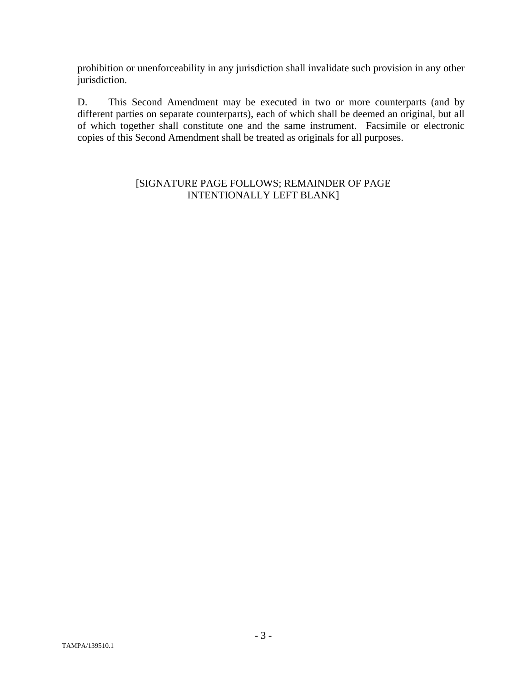prohibition or unenforceability in any jurisdiction shall invalidate such provision in any other jurisdiction.

D. This Second Amendment may be executed in two or more counterparts (and by different parties on separate counterparts), each of which shall be deemed an original, but all of which together shall constitute one and the same instrument. Facsimile or electronic copies of this Second Amendment shall be treated as originals for all purposes.

## [SIGNATURE PAGE FOLLOWS; REMAINDER OF PAGE INTENTIONALLY LEFT BLANK]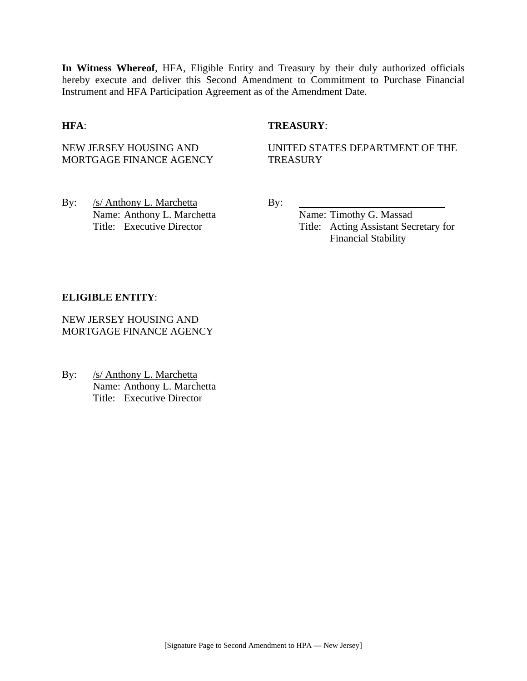**In Witness Whereof**, HFA, Eligible Entity and Treasury by their duly authorized officials hereby execute and deliver this Second Amendment to Commitment to Purchase Financial Instrument and HFA Participation Agreement as of the Amendment Date.

#### **HFA**: **TREASURY**:

NEW JERSEY HOUSING AND MORTGAGE FINANCE AGENCY UNITED STATES DEPARTMENT OF THE **TREASURY** 

By: /s/ Anthony L. Marchetta By: Name: Anthony L. Marchetta Name: Timothy G. Massad

Title: Executive Director Title: Acting Assistant Secretary for Financial Stability

#### **ELIGIBLE ENTITY**:

NEW JERSEY HOUSING AND MORTGAGE FINANCE AGENCY

By: /s/ Anthony L. Marchetta Name: Anthony L. Marchetta Title: Executive Director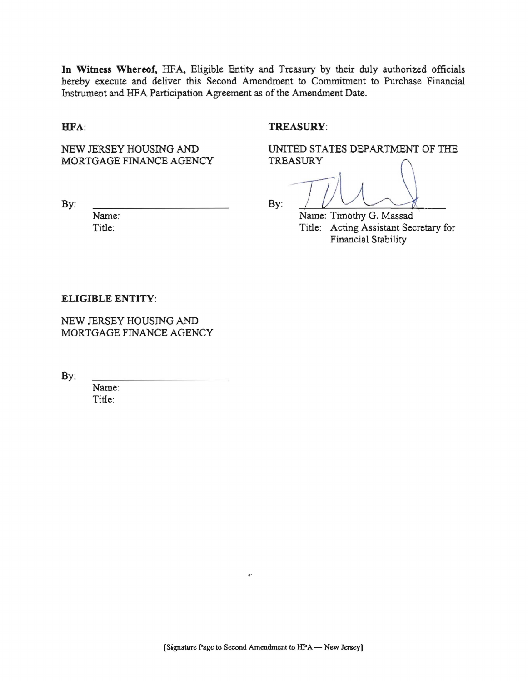In Witness Whereof, HFA, Eligible Entity and Treasury by their duly authorized officials hereby execute and deliver this Second Amendment to Commitment to Purchase Financial Instrument and HFA Participation Agreement as of the Amendment Date.

HFA:

#### **TREASURY:**

**TREASURY** 

NEW JERSEY HOUSING AND MORTGAGE FINANCE AGENCY

 $\mathbf{B} \mathbf{v}$ :

Name: Title:

 $By:$ 

Name: Timothy G. Massad Title: Acting Assistant Secretary for Financial Stability

UNITED STATES DEPARTMENT OF THE

ELIGIBLE ENTITY:

NEW JERSEY HOUSING AND MORTGAGE FINANCE AGENCY

By:

Name: Title: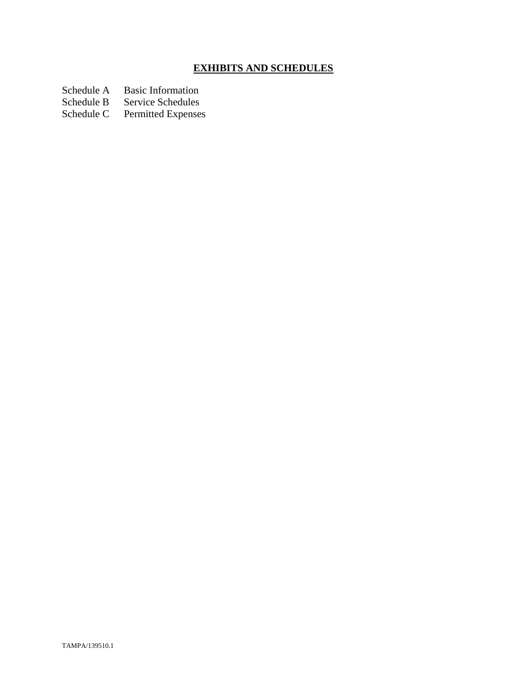# **EXHIBITS AND SCHEDULES**

- Schedule A Basic Information<br>Schedule B Service Schedules
- Schedule B Service Schedules<br>Schedule C Permitted Expenses
- Permitted Expenses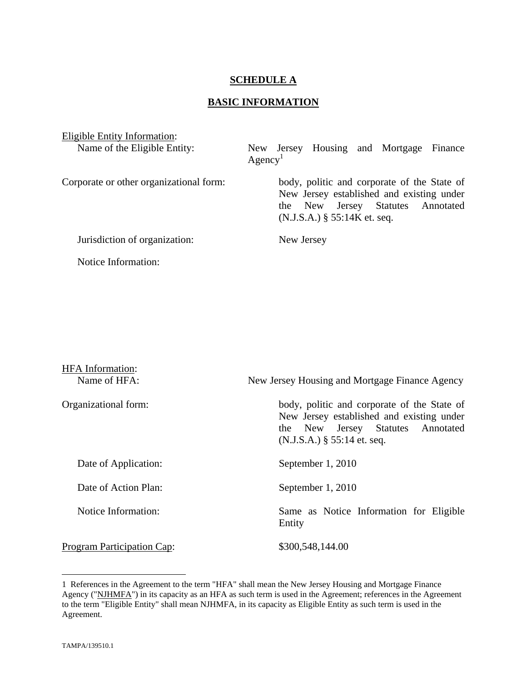## **SCHEDULE A**

## **BASIC INFORMATION**

| Eligible Entity Information:            |                                                                                                                                                                 |  |
|-----------------------------------------|-----------------------------------------------------------------------------------------------------------------------------------------------------------------|--|
| Name of the Eligible Entity:            | New Jersey Housing and Mortgage Finance<br>Agency <sup>1</sup>                                                                                                  |  |
| Corporate or other organizational form: | body, politic and corporate of the State of<br>New Jersey established and existing under<br>the New Jersey Statutes Annotated<br>$(N.J.S.A.)$ § 55:14K et. seq. |  |
| Jurisdiction of organization:           | New Jersey                                                                                                                                                      |  |
| Notice Information:                     |                                                                                                                                                                 |  |

| <b>HFA</b> Information:<br>Name of HFA: | New Jersey Housing and Mortgage Finance Agency                                                                                                                 |  |
|-----------------------------------------|----------------------------------------------------------------------------------------------------------------------------------------------------------------|--|
| Organizational form:                    | body, politic and corporate of the State of<br>New Jersey established and existing under<br>the New Jersey Statutes Annotated<br>$(N.J.S.A.)$ § 55:14 et. seq. |  |
| Date of Application:                    | September 1, 2010                                                                                                                                              |  |
| Date of Action Plan:                    | September 1, 2010                                                                                                                                              |  |
| Notice Information:                     | Same as Notice Information for Eligible<br>Entity                                                                                                              |  |
| <b>Program Participation Cap:</b>       | \$300,548,144.00                                                                                                                                               |  |

<sup>1</sup> References in the Agreement to the term "HFA" shall mean the New Jersey Housing and Mortgage Finance Agency ("NJHMFA") in its capacity as an HFA as such term is used in the Agreement; references in the Agreement to the term "Eligible Entity" shall mean NJHMFA, in its capacity as Eligible Entity as such term is used in the Agreement.

<u>.</u>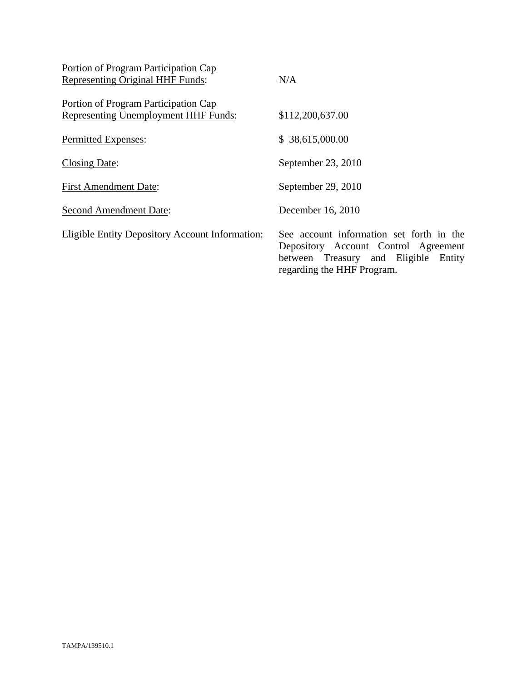| Portion of Program Participation Cap                   |                                                                                                                                                        |
|--------------------------------------------------------|--------------------------------------------------------------------------------------------------------------------------------------------------------|
| Representing Original HHF Funds:                       | N/A                                                                                                                                                    |
| Portion of Program Participation Cap                   |                                                                                                                                                        |
| <b>Representing Unemployment HHF Funds:</b>            | \$112,200,637.00                                                                                                                                       |
| Permitted Expenses:                                    | \$38,615,000.00                                                                                                                                        |
| <b>Closing Date:</b>                                   | September 23, 2010                                                                                                                                     |
| <b>First Amendment Date:</b>                           | September 29, 2010                                                                                                                                     |
| <b>Second Amendment Date:</b>                          | December 16, 2010                                                                                                                                      |
| <b>Eligible Entity Depository Account Information:</b> | See account information set forth in the<br>Depository Account Control Agreement<br>between Treasury and Eligible Entity<br>regarding the HHF Program. |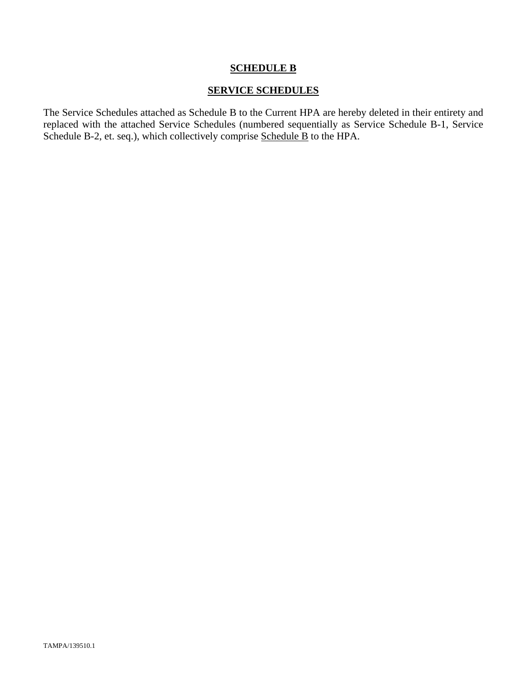## **SCHEDULE B**

## **SERVICE SCHEDULES**

The Service Schedules attached as Schedule B to the Current HPA are hereby deleted in their entirety and replaced with the attached Service Schedules (numbered sequentially as Service Schedule B-1, Service Schedule B-2, et. seq.), which collectively comprise Schedule B to the HPA.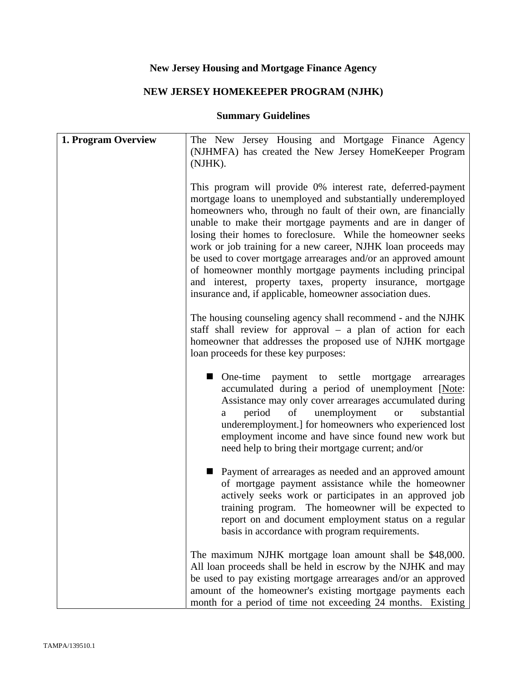# **New Jersey Housing and Mortgage Finance Agency**

# **NEW JERSEY HOMEKEEPER PROGRAM (NJHK)**

# **Summary Guidelines**

| 1. Program Overview | The New Jersey Housing and Mortgage Finance Agency<br>(NJHMFA) has created the New Jersey HomeKeeper Program<br>(NJHK).                                                                                                                                                                                                                                                                                                                                                                                                                                                                                                                                   |
|---------------------|-----------------------------------------------------------------------------------------------------------------------------------------------------------------------------------------------------------------------------------------------------------------------------------------------------------------------------------------------------------------------------------------------------------------------------------------------------------------------------------------------------------------------------------------------------------------------------------------------------------------------------------------------------------|
|                     | This program will provide 0% interest rate, deferred-payment<br>mortgage loans to unemployed and substantially underemployed<br>homeowners who, through no fault of their own, are financially<br>unable to make their mortgage payments and are in danger of<br>losing their homes to foreclosure. While the homeowner seeks<br>work or job training for a new career, NJHK loan proceeds may<br>be used to cover mortgage arrearages and/or an approved amount<br>of homeowner monthly mortgage payments including principal<br>and interest, property taxes, property insurance, mortgage<br>insurance and, if applicable, homeowner association dues. |
|                     | The housing counseling agency shall recommend - and the NJHK<br>staff shall review for approval $-$ a plan of action for each<br>homeowner that addresses the proposed use of NJHK mortgage<br>loan proceeds for these key purposes:                                                                                                                                                                                                                                                                                                                                                                                                                      |
|                     | • One-time payment to settle mortgage<br>arrearages<br>accumulated during a period of unemployment [Note:<br>Assistance may only cover arrearages accumulated during<br>unemployment<br>period<br>substantial<br>of<br><b>or</b><br>a<br>underemployment.] for homeowners who experienced lost<br>employment income and have since found new work but<br>need help to bring their mortgage current; and/or                                                                                                                                                                                                                                                |
|                     | <b>Payment of arrearages as needed and an approved amount</b><br>of mortgage payment assistance while the homeowner<br>actively seeks work or participates in an approved job<br>training program. The homeowner will be expected to<br>report on and document employment status on a regular<br>basis in accordance with program requirements.                                                                                                                                                                                                                                                                                                           |
|                     | The maximum NJHK mortgage loan amount shall be \$48,000.<br>All loan proceeds shall be held in escrow by the NJHK and may<br>be used to pay existing mortgage arrearages and/or an approved<br>amount of the homeowner's existing mortgage payments each<br>month for a period of time not exceeding 24 months. Existing                                                                                                                                                                                                                                                                                                                                  |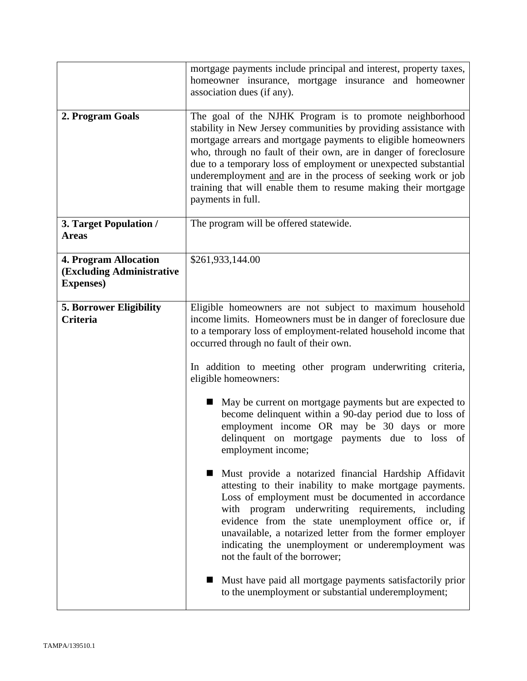|                                                                                | mortgage payments include principal and interest, property taxes,<br>homeowner insurance, mortgage insurance and homeowner<br>association dues (if any).                                                                                                                                                                                                                                                                                                                                    |
|--------------------------------------------------------------------------------|---------------------------------------------------------------------------------------------------------------------------------------------------------------------------------------------------------------------------------------------------------------------------------------------------------------------------------------------------------------------------------------------------------------------------------------------------------------------------------------------|
| 2. Program Goals                                                               | The goal of the NJHK Program is to promote neighborhood<br>stability in New Jersey communities by providing assistance with<br>mortgage arrears and mortgage payments to eligible homeowners<br>who, through no fault of their own, are in danger of foreclosure<br>due to a temporary loss of employment or unexpected substantial<br>underemployment and are in the process of seeking work or job<br>training that will enable them to resume making their mortgage<br>payments in full. |
| 3. Target Population /<br><b>Areas</b>                                         | The program will be offered statewide.                                                                                                                                                                                                                                                                                                                                                                                                                                                      |
| <b>4. Program Allocation</b><br>(Excluding Administrative<br><b>Expenses</b> ) | \$261,933,144.00                                                                                                                                                                                                                                                                                                                                                                                                                                                                            |
| <b>5. Borrower Eligibility</b><br><b>Criteria</b>                              | Eligible homeowners are not subject to maximum household<br>income limits. Homeowners must be in danger of foreclosure due<br>to a temporary loss of employment-related household income that<br>occurred through no fault of their own.<br>In addition to meeting other program underwriting criteria,                                                                                                                                                                                     |
|                                                                                | eligible homeowners:<br>May be current on mortgage payments but are expected to<br>become delinquent within a 90-day period due to loss of<br>employment income OR may be 30 days or more<br>delinquent on mortgage payments due to loss of<br>employment income;                                                                                                                                                                                                                           |
|                                                                                | Must provide a notarized financial Hardship Affidavit<br>attesting to their inability to make mortgage payments.<br>Loss of employment must be documented in accordance<br>with program underwriting requirements, including<br>evidence from the state unemployment office or, if<br>unavailable, a notarized letter from the former employer<br>indicating the unemployment or underemployment was<br>not the fault of the borrower;                                                      |
|                                                                                | Must have paid all mortgage payments satisfactorily prior<br>to the unemployment or substantial underemployment;                                                                                                                                                                                                                                                                                                                                                                            |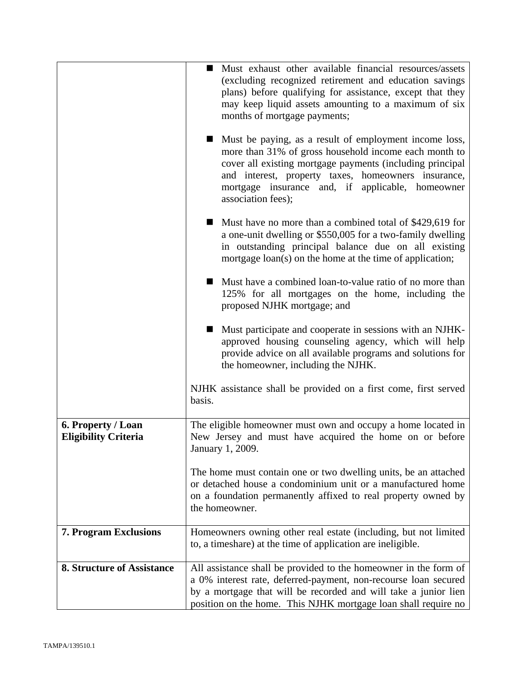|                                                   | • Must exhaust other available financial resources/assets<br>(excluding recognized retirement and education savings<br>plans) before qualifying for assistance, except that they<br>may keep liquid assets amounting to a maximum of six<br>months of mortgage payments;                                      |
|---------------------------------------------------|---------------------------------------------------------------------------------------------------------------------------------------------------------------------------------------------------------------------------------------------------------------------------------------------------------------|
|                                                   | Must be paying, as a result of employment income loss,<br>more than 31% of gross household income each month to<br>cover all existing mortgage payments (including principal<br>and interest, property taxes, homeowners insurance,<br>mortgage insurance and, if applicable, homeowner<br>association fees); |
|                                                   | Must have no more than a combined total of \$429,619 for<br>a one-unit dwelling or \$550,005 for a two-family dwelling<br>in outstanding principal balance due on all existing<br>mortgage loan(s) on the home at the time of application;                                                                    |
|                                                   | Must have a combined loan-to-value ratio of no more than<br>125% for all mortgages on the home, including the<br>proposed NJHK mortgage; and                                                                                                                                                                  |
|                                                   | Must participate and cooperate in sessions with an NJHK-<br>approved housing counseling agency, which will help<br>provide advice on all available programs and solutions for<br>the homeowner, including the NJHK.                                                                                           |
|                                                   | NJHK assistance shall be provided on a first come, first served<br>basis.                                                                                                                                                                                                                                     |
| 6. Property / Loan<br><b>Eligibility Criteria</b> | The eligible homeowner must own and occupy a home located in<br>New Jersey and must have acquired the home on or before<br>January 1, 2009.                                                                                                                                                                   |
|                                                   | The home must contain one or two dwelling units, be an attached<br>or detached house a condominium unit or a manufactured home<br>on a foundation permanently affixed to real property owned by<br>the homeowner.                                                                                             |
| <b>7. Program Exclusions</b>                      | Homeowners owning other real estate (including, but not limited<br>to, a timeshare) at the time of application are ineligible.                                                                                                                                                                                |
| <b>8. Structure of Assistance</b>                 | All assistance shall be provided to the homeowner in the form of<br>a 0% interest rate, deferred-payment, non-recourse loan secured<br>by a mortgage that will be recorded and will take a junior lien<br>position on the home. This NJHK mortgage loan shall require no                                      |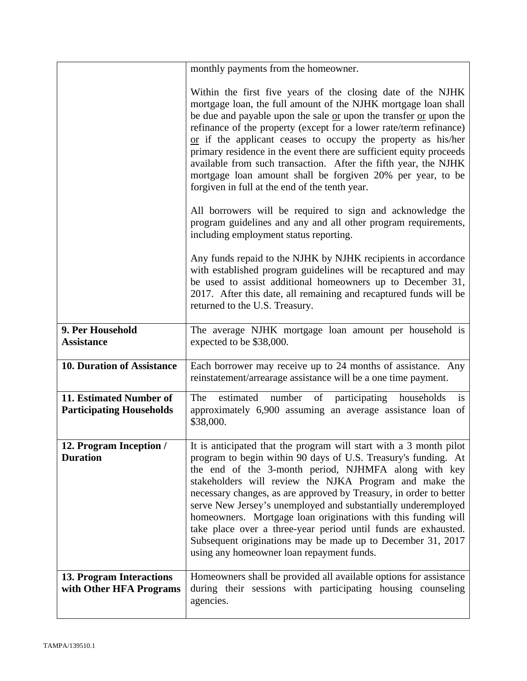|                                                            | monthly payments from the homeowner.                                                                                                                                                                                                                                                                                                                                                                                                                                                                                                                                                                                                         |
|------------------------------------------------------------|----------------------------------------------------------------------------------------------------------------------------------------------------------------------------------------------------------------------------------------------------------------------------------------------------------------------------------------------------------------------------------------------------------------------------------------------------------------------------------------------------------------------------------------------------------------------------------------------------------------------------------------------|
|                                                            | Within the first five years of the closing date of the NJHK<br>mortgage loan, the full amount of the NJHK mortgage loan shall<br>be due and payable upon the sale or upon the transfer or upon the<br>refinance of the property (except for a lower rate/term refinance)<br>or if the applicant ceases to occupy the property as his/her<br>primary residence in the event there are sufficient equity proceeds<br>available from such transaction. After the fifth year, the NJHK<br>mortgage loan amount shall be forgiven 20% per year, to be<br>forgiven in full at the end of the tenth year.                                           |
|                                                            | All borrowers will be required to sign and acknowledge the<br>program guidelines and any and all other program requirements,<br>including employment status reporting.                                                                                                                                                                                                                                                                                                                                                                                                                                                                       |
|                                                            | Any funds repaid to the NJHK by NJHK recipients in accordance<br>with established program guidelines will be recaptured and may<br>be used to assist additional homeowners up to December 31,<br>2017. After this date, all remaining and recaptured funds will be<br>returned to the U.S. Treasury.                                                                                                                                                                                                                                                                                                                                         |
| 9. Per Household<br><b>Assistance</b>                      | The average NJHK mortgage loan amount per household is<br>expected to be \$38,000.                                                                                                                                                                                                                                                                                                                                                                                                                                                                                                                                                           |
| <b>10. Duration of Assistance</b>                          | Each borrower may receive up to 24 months of assistance. Any<br>reinstatement/arrearage assistance will be a one time payment.                                                                                                                                                                                                                                                                                                                                                                                                                                                                                                               |
| 11. Estimated Number of<br><b>Participating Households</b> | of participating<br>The<br>estimated number<br>households<br>is<br>approximately 6,900 assuming an average assistance loan of<br>\$38,000.                                                                                                                                                                                                                                                                                                                                                                                                                                                                                                   |
| 12. Program Inception /<br><b>Duration</b>                 | It is anticipated that the program will start with a 3 month pilot<br>program to begin within 90 days of U.S. Treasury's funding. At<br>the end of the 3-month period, NJHMFA along with key<br>stakeholders will review the NJKA Program and make the<br>necessary changes, as are approved by Treasury, in order to better<br>serve New Jersey's unemployed and substantially underemployed<br>homeowners. Mortgage loan originations with this funding will<br>take place over a three-year period until funds are exhausted.<br>Subsequent originations may be made up to December 31, 2017<br>using any homeowner loan repayment funds. |
| 13. Program Interactions<br>with Other HFA Programs        | Homeowners shall be provided all available options for assistance<br>during their sessions with participating housing counseling<br>agencies.                                                                                                                                                                                                                                                                                                                                                                                                                                                                                                |
|                                                            |                                                                                                                                                                                                                                                                                                                                                                                                                                                                                                                                                                                                                                              |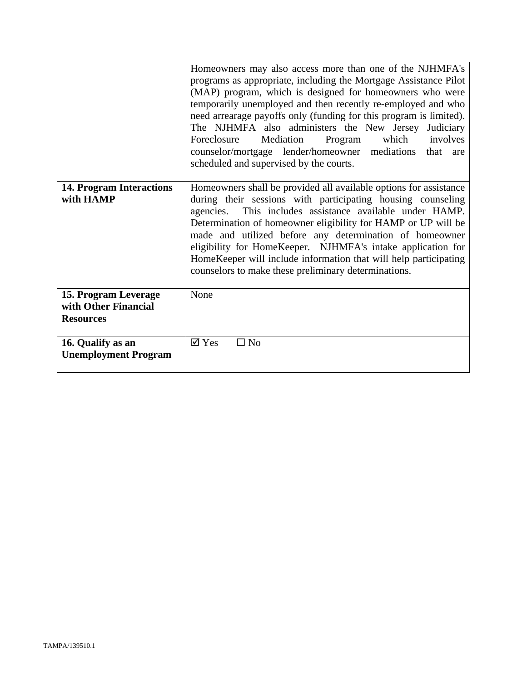|                                                                  | Homeowners may also access more than one of the NJHMFA's<br>programs as appropriate, including the Mortgage Assistance Pilot<br>(MAP) program, which is designed for homeowners who were<br>temporarily unemployed and then recently re-employed and who<br>need arrearage payoffs only (funding for this program is limited).<br>The NJHMFA also administers the New Jersey Judiciary<br>Mediation<br>which<br>involves<br>Program<br>Foreclosure<br>counselor/mortgage lender/homeowner mediations that<br>are<br>scheduled and supervised by the courts. |
|------------------------------------------------------------------|-------------------------------------------------------------------------------------------------------------------------------------------------------------------------------------------------------------------------------------------------------------------------------------------------------------------------------------------------------------------------------------------------------------------------------------------------------------------------------------------------------------------------------------------------------------|
| <b>14. Program Interactions</b><br>with HAMP                     | Homeowners shall be provided all available options for assistance<br>during their sessions with participating housing counseling                                                                                                                                                                                                                                                                                                                                                                                                                            |
|                                                                  | This includes assistance available under HAMP.<br>agencies.<br>Determination of homeowner eligibility for HAMP or UP will be<br>made and utilized before any determination of homeowner<br>eligibility for HomeKeeper. NJHMFA's intake application for<br>HomeKeeper will include information that will help participating<br>counselors to make these preliminary determinations.                                                                                                                                                                          |
| 15. Program Leverage<br>with Other Financial<br><b>Resources</b> | None                                                                                                                                                                                                                                                                                                                                                                                                                                                                                                                                                        |
| 16. Qualify as an<br><b>Unemployment Program</b>                 | $\boxtimes$ Yes<br>$\square$ No                                                                                                                                                                                                                                                                                                                                                                                                                                                                                                                             |